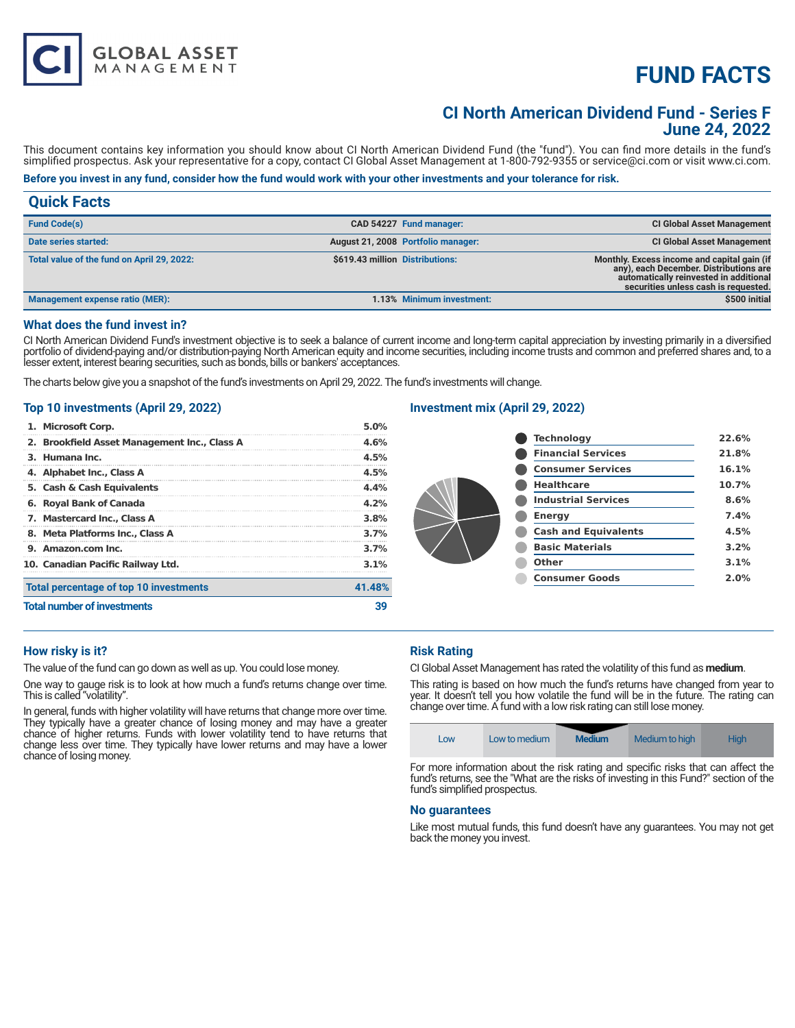# **FUND FACTS**

# **CI North American Dividend Fund - Series F June 24, 2022**

This document contains key information you should know about CI North American Dividend Fund (the "fund"). You can find more details in the fund's simplified prospectus. Ask your representative for a copy, contact CI Global Asset Management at 1-800-792-9355 or service@ci.com or visit www.ci.com.

# **Before you invest in any fund, consider how the fund would work with your other investments and your tolerance for risk.**

| <b>Quick Facts</b>                         |                                 |                                    |                                                                                                                                                                         |
|--------------------------------------------|---------------------------------|------------------------------------|-------------------------------------------------------------------------------------------------------------------------------------------------------------------------|
| <b>Fund Code(s)</b>                        |                                 | CAD 54227 Fund manager:            | <b>CI Global Asset Management</b>                                                                                                                                       |
| Date series started:                       |                                 | August 21, 2008 Portfolio manager: | <b>CI Global Asset Management</b>                                                                                                                                       |
| Total value of the fund on April 29, 2022: | \$619.43 million Distributions: |                                    | Monthly. Excess income and capital gain (if<br>any), each December. Distributions are<br>automatically reinvested in additional<br>securities unless cash is requested. |
| <b>Management expense ratio (MER):</b>     |                                 | 1.13% Minimum investment:          | \$500 initial                                                                                                                                                           |

#### **What does the fund invest in?**

CI North American Dividend Fund's investment objective is to seek a balance of current income and long-term capital appreciation by investing primarily in a diversified portfolio of dividend-paying and/or distribution-paying North American equity and income securities, including income trusts and common and preferred shares and, to a lesser extent, interest bearing securities, such as bonds, bills or bankers' acceptances.

The charts below give you a snapshot of the fund's investments on April 29, 2022. The fund's investments will change.

### **Top 10 investments (April 29, 2022)**

**GLOBAL ASSET**<br>MANAGEMENT

| <b>Total number of investments</b>           |              |  |
|----------------------------------------------|--------------|--|
| Total percentage of top 10 investments       | 41.48%       |  |
| 10. Canadian Pacific Railway Ltd.            | $3.1\%$      |  |
| 9. Amazon.com Inc.                           | 3.7%<br>3.7% |  |
| 8. Meta Platforms Inc., Class A              |              |  |
| 7. Mastercard Inc., Class A                  | 3.8%         |  |
| 6. Royal Bank of Canada                      | 4.2%         |  |
| 5. Cash & Cash Equivalents                   | 4.4%         |  |
| 4. Alphabet Inc., Class A                    | 4.5%         |  |
| 3. Humana Inc.                               | 4.5%         |  |
| 2. Brookfield Asset Management Inc., Class A | 4.6%         |  |
| 1. Microsoft Corp.                           | 5.0%         |  |

## **Investment mix (April 29, 2022)**

| <b>Technology</b>           | 22.6% |
|-----------------------------|-------|
| <b>Financial Services</b>   | 21.8% |
| <b>Consumer Services</b>    | 16.1% |
| <b>Healthcare</b>           | 10.7% |
| <b>Industrial Services</b>  | 8.6%  |
| <b>Energy</b>               | 7.4%  |
| <b>Cash and Equivalents</b> | 4.5%  |
| <b>Basic Materials</b>      | 3.2%  |
| Other                       | 3.1%  |
| <b>Consumer Goods</b>       | 2.0%  |
|                             |       |

#### **How risky is it?**

The value of the fund can go down as well as up. You could lose money.

One way to gauge risk is to look at how much a fund's returns change over time. This is called "volatility".

In general, funds with higher volatility will have returns that change more over time. They typically have a greater chance of losing money and may have a greater chance of higher returns. Funds with lower volatility tend to have returns that change less over time. They typically have lower returns and may have a lower chance of losing money.

### **Risk Rating**

CI Global Asset Management has rated the volatility of this fund as **medium**.

This rating is based on how much the fund's returns have changed from year to year. It doesn't tell you how volatile the fund will be in the future. The rating can change over time. A fund with a low risk rating can still lose money.

| Low | Low to medium | <b>Medium</b> | Medium to high | High |
|-----|---------------|---------------|----------------|------|
|     |               |               |                |      |

For more information about the risk rating and specific risks that can affect the fund's returns, see the "What are the risks of investing in this Fund?" section of the fund's simplified prospectus.

#### **No guarantees**

Like most mutual funds, this fund doesn't have any guarantees. You may not get back the money you invest.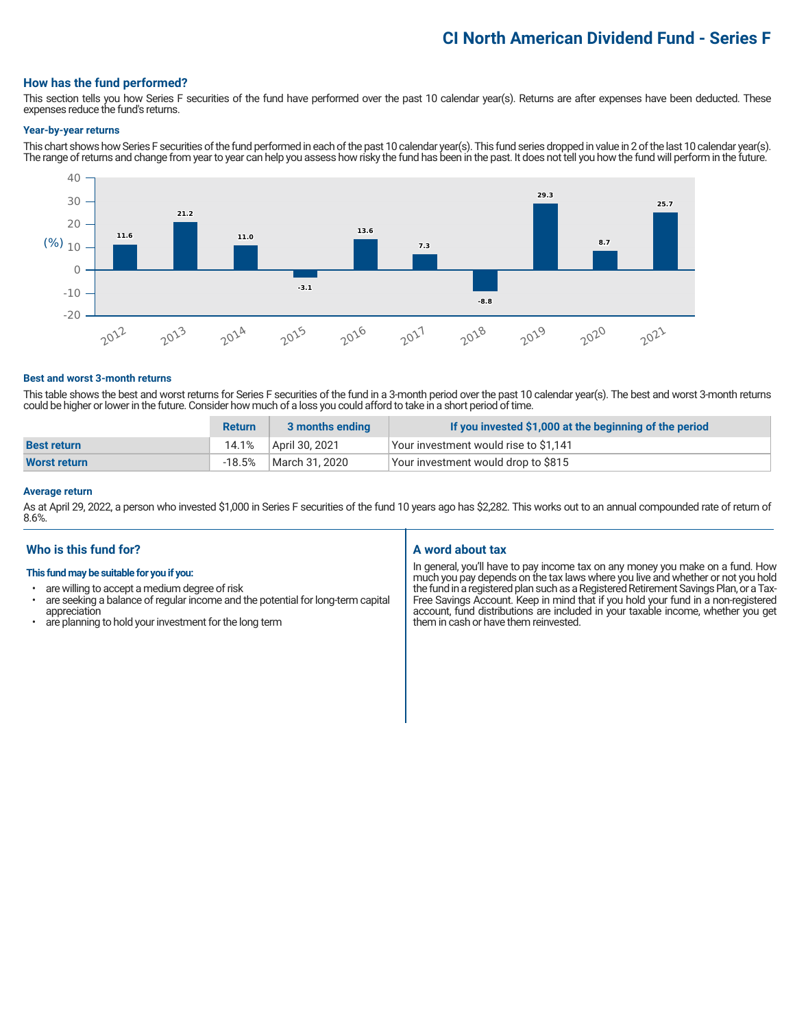# **CI North American Dividend Fund - Series F**

### **How has the fund performed?**

This section tells you how Series F securities of the fund have performed over the past 10 calendar year(s). Returns are after expenses have been deducted. These expenses reduce the fund's returns.

#### **Year-by-year returns**

This chart shows how Series F securities of the fund performed in each of the past 10 calendar year(s). This fund series dropped in value in 2 of the last 10 calendar year(s). The range of returns and change from year to year can help you assess how risky the fund has been in the past. It does not tell you how the fund will perform in the future.



#### **Best and worst 3-month returns**

This table shows the best and worst returns for Series F securities of the fund in a 3-month period over the past 10 calendar year(s). The best and worst 3-month returns could be higher or lower in the future. Consider how much of a loss you could afford to take in a short period of time.

|                     | <b>Return</b> | 3 months ending | If you invested \$1,000 at the beginning of the period |
|---------------------|---------------|-----------------|--------------------------------------------------------|
| <b>Best return</b>  | 14.1%         | April 30, 2021  | Your investment would rise to \$1,141                  |
| <b>Worst return</b> | -18.5%        | March 31, 2020  | Your investment would drop to \$815                    |

## **Average return**

As at April 29, 2022, a person who invested \$1,000 in Series F securities of the fund 10 years ago has \$2,282. This works out to an annual compounded rate of return of 8.6%.

# **Who is this fund for?**

#### **This fund may be suitable for you if you:**

- are willing to accept a medium degree of risk
- are seeking a balance of regular income and the potential for long-term capital appreciation
- are planning to hold your investment for the long term

# **A word about tax**

In general, you'll have to pay income tax on any money you make on a fund. How much you pay depends on the tax laws where you live and whether or not you hold the fund in a registered plan such as a Registered Retirement Savings Plan, or a Tax-Free Savings Account. Keep in mind that if you hold your fund in a non-registered account, fund distributions are included in your taxable income, whether you get them in cash or have them reinvested.